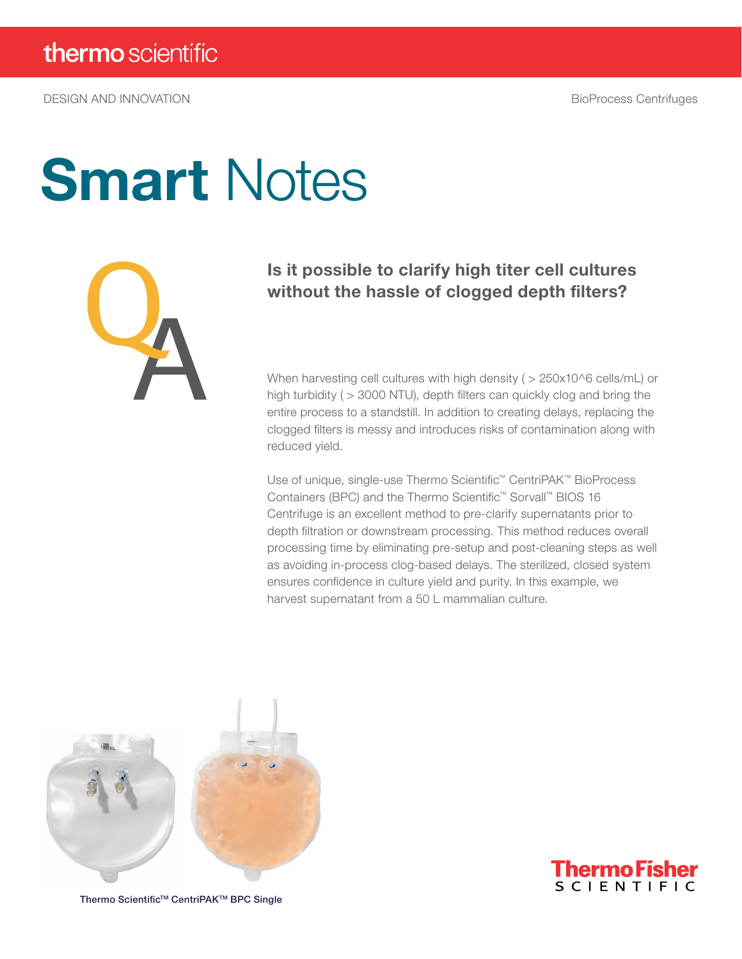# **Smart Notes**



### Is it possible to clarify high titer cell cultures without the hassle of clogged depth filters?

When harvesting cell cultures with high density ( > 250x10^6 cells/mL) or high turbidity ( > 3000 NTU), depth filters can quickly clog and bring the entire process to a standstill. In addition to creating delays, replacing the clogged filters is messy and introduces risks of contamination along with reduced yield.

Use of unique, single-use Thermo Scientific™ CentriPAK™ BioProcess Containers (BPC) and the Thermo Scientific™ Sorvall™ BIOS 16 Centrifuge is an excellent method to pre-clarify supernatants prior to depth filtration or downstream processing. This method reduces overall processing time by eliminating pre-setup and post-cleaning steps as well as avoiding in-process clog-based delays. The sterilized, closed system ensures confidence in culture yield and purity. In this example, we harvest supernatant from a 50 L mammalian culture.





Thermo Scientific™ CentriPAK<sup>™</sup> BPC Single